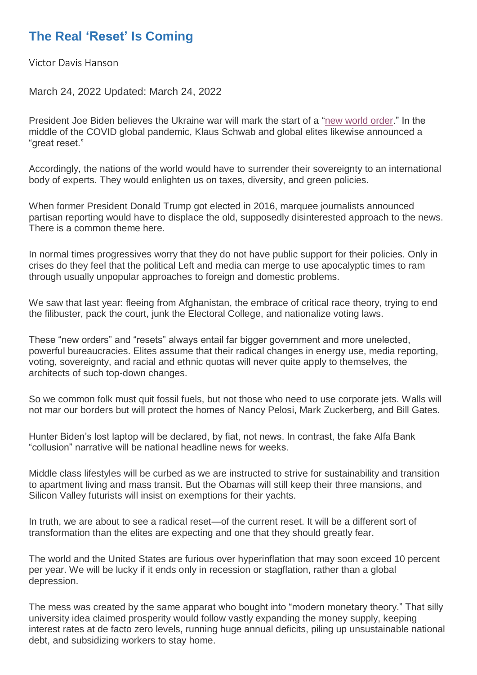## **The Real 'Reset' Is Coming**

Victor Davis Hanson

March 24, 2022 Updated: March 24, 2022

President Joe Biden believes the Ukraine war will mark the start of a ["new world order.](https://www.theepochtimes.com/t-new-world-order)" In the middle of the COVID global pandemic, Klaus Schwab and global elites likewise announced a "great reset."

Accordingly, the nations of the world would have to surrender their sovereignty to an international body of experts. They would enlighten us on taxes, diversity, and green policies.

When former President Donald Trump got elected in 2016, marquee journalists announced partisan reporting would have to displace the old, supposedly disinterested approach to the news. There is a common theme here.

In normal times progressives worry that they do not have public support for their policies. Only in crises do they feel that the political Left and media can merge to use apocalyptic times to ram through usually unpopular approaches to foreign and domestic problems.

We saw that last year: fleeing from Afghanistan, the embrace of critical race theory, trying to end the filibuster, pack the court, junk the Electoral College, and nationalize voting laws.

These "new orders" and "resets" always entail far bigger government and more unelected, powerful bureaucracies. Elites assume that their radical changes in energy use, media reporting, voting, sovereignty, and racial and ethnic quotas will never quite apply to themselves, the architects of such top-down changes.

So we common folk must quit fossil fuels, but not those who need to use corporate jets. Walls will not mar our borders but will protect the homes of Nancy Pelosi, Mark Zuckerberg, and Bill Gates.

Hunter Biden's lost laptop will be declared, by fiat, not news. In contrast, the fake Alfa Bank "collusion" narrative will be national headline news for weeks.

Middle class lifestyles will be curbed as we are instructed to strive for sustainability and transition to apartment living and mass transit. But the Obamas will still keep their three mansions, and Silicon Valley futurists will insist on exemptions for their yachts.

In truth, we are about to see a radical reset—of the current reset. It will be a different sort of transformation than the elites are expecting and one that they should greatly fear.

The world and the United States are furious over hyperinflation that may soon exceed 10 percent per year. We will be lucky if it ends only in recession or stagflation, rather than a global depression.

The mess was created by the same apparat who bought into "modern monetary theory." That silly university idea claimed prosperity would follow vastly expanding the money supply, keeping interest rates at de facto zero levels, running huge annual deficits, piling up unsustainable national debt, and subsidizing workers to stay home.